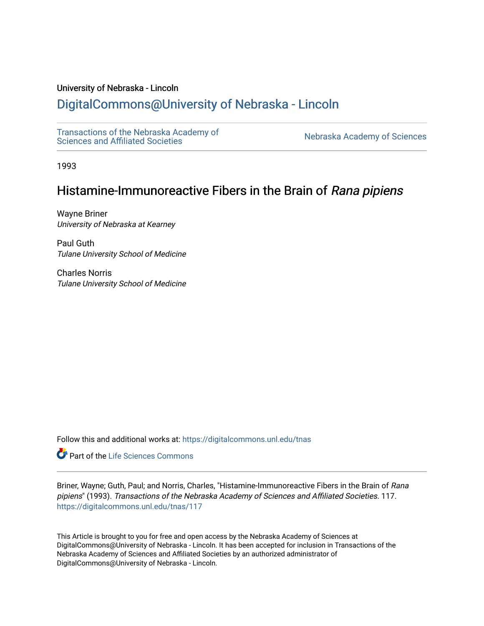## University of Nebraska - Lincoln

# [DigitalCommons@University of Nebraska - Lincoln](https://digitalcommons.unl.edu/)

[Transactions of the Nebraska Academy of](https://digitalcommons.unl.edu/tnas)  Transactions of the Nebraska Academy of Sciences<br>Sciences and Affiliated Societies

1993

# Histamine-Immunoreactive Fibers in the Brain of Rana pipiens

Wayne Briner University of Nebraska at Kearney

Paul Guth Tulane University School of Medicine

Charles Norris Tulane University School of Medicine

Follow this and additional works at: [https://digitalcommons.unl.edu/tnas](https://digitalcommons.unl.edu/tnas?utm_source=digitalcommons.unl.edu%2Ftnas%2F117&utm_medium=PDF&utm_campaign=PDFCoverPages) 

Part of the [Life Sciences Commons](http://network.bepress.com/hgg/discipline/1016?utm_source=digitalcommons.unl.edu%2Ftnas%2F117&utm_medium=PDF&utm_campaign=PDFCoverPages) 

Briner, Wayne; Guth, Paul; and Norris, Charles, "Histamine-Immunoreactive Fibers in the Brain of Rana pipiens" (1993). Transactions of the Nebraska Academy of Sciences and Affiliated Societies. 117. [https://digitalcommons.unl.edu/tnas/117](https://digitalcommons.unl.edu/tnas/117?utm_source=digitalcommons.unl.edu%2Ftnas%2F117&utm_medium=PDF&utm_campaign=PDFCoverPages) 

This Article is brought to you for free and open access by the Nebraska Academy of Sciences at DigitalCommons@University of Nebraska - Lincoln. It has been accepted for inclusion in Transactions of the Nebraska Academy of Sciences and Affiliated Societies by an authorized administrator of DigitalCommons@University of Nebraska - Lincoln.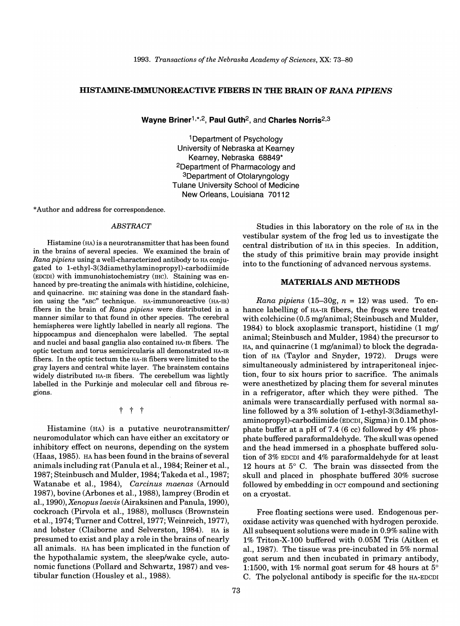#### **HISTAMINE-IMMUNOREACTIVE FIBERS IN THE BRAIN OF** *RANA PIPIENS*

**Wayne** Briner1,\*,2, **Paul** Guth2, and **Charles** Norris2,3

1 Department of Psychology University of Nebraska at Kearney Kearney, Nebraska 68849\* 2Department of Pharmacology and 3Department of Otolaryngology Tulane University School of Medicine New Orleans, Louisiana 70112

\* Author and address for correspondence.

#### *ABSTRACT*

Histamine (HA) is a neurotransmitter that has been found in the brains of several species. We examined the brain of *Rana pipiens* using a well-characterized antibody to HA conjugated to 1-ethyl-3(3diamethylaminopropyl)-carbodiimide (EDCDI) with immunohistochemistry (IHC). Staining was enhanced by pre-treating the animals with histidine, colchicine, and quinacrine. IHC staining was done in the standard fashion using the "ABC" technique. HA-immunoreactive (HA-IR) fibers in the brain of *Rana pipiens* were distributed in a manner similar to that found in other species. The cerebral hemispheres were lightly labelled in nearly all regions. The hippocampus and diencephalon were labelled. The septal and nuclei and basal ganglia also contained HA-IR fibers. The optic tectum and torus semicircularis all demonstrated HA-IR fibers. In the optic tectum the HA-IR fibers were limited to the gray layers and central white layer. The brainstem contains widely distributed HA-IR fibers. The cerebellum was lightly labelled in the Purkinje and molecular cell and fibrous regions.

t t t

Histamine (HA) is a putative neurotransmitter/ neuromodulator which can have either an excitatory or inhibitory effect on neurons, depending on the system (Haas,1985). HA has been found in the brains of several animals including rat (Panula et aI., 1984; Reiner et aI., 1987; Steinbuschand Mulder, 1984; Takeda et aI., 1987; Watanabe et aI., 1984), *Carcinus maenas* (Arnould 1987), bovine (Arbones et aI., 1988), lamprey (Brodin et aI., 1990), *Xenopus laevis* (Airaksinen and Panula, 1990), cockroach (Pirvola et aI., 1988), molluscs (Brownstein et aI., 1974; Turner and Cottrel, 1977; Weinreich, 1977), and lobster (Claiborne and Selverston, 1984). HA is presumed to exist and playa role in the brains of nearly all animals. HA has been implicated in the function of the hypothalamic system, the sleep/wake cycle, autonomic functions (Pollard and Schwartz, 1987) and vestibular function (Housley et aI., 1988).

Studies in this laboratory on the role of HA in the vestibular system of the frog led us to investigate the central distribution of HA in this species. In addition, the study of this primitive brain may provide insight into to the functioning of advanced nervous systems.

#### **MATERIALS AND METHODS**

*Rana pipiens*  $(15-30g, n = 12)$  was used. To enhance labelling of HA-IR fibers, the frogs were treated with colchicine (0.5 mg/animal; Steinbusch and Mulder, 1984) to block axoplasmic transport, histidine (1 mg/ animal; Steinbusch and Mulder, 1984) the precursor to HA, and quinacrine (1 mg/animal) to block the degradation of HA (Taylor and Snyder, 1972). Drugs were simultaneously administered by intraperitoneal injection, four to six hours prior to sacrifice. The animals were anesthetized by placing them for several minutes in a refrigerator, after which they were pithed. The animals were transcardially perfused with normal saline followed by a 3% solution of 1-ethyl-3(3diamethylaminopropyl)-carbodiimide (EDCDI, Sigma) in 0.1M phosphate buffer at a pH of 7.4 (6 cc) followed by 4% phosphate buffered paraformaldehyde. The skull was opened and the head immersed in a phosphate buffered solution of 3% EDCDI and 4% paraformaldehyde for at least 12 hours at 5° C. The brain was dissected from the skull and placed in phosphate buffered 30% sucrose followed by embedding in OCT compound and sectioning on a cryostat.

Free floating sections were used. Endogenous peroxidase activity was quenched with hydrogen peroxide. All subsequent solutions were made in 0.9% saline with 1% Triton-X-100 buffered with 0.05M Tris (Aitken et aI., 1987). The tissue was pre-incubated in 5% normal goat serum and then incubated in primary antibody, 1:1500, with 1% normal goat serum for 48 hours at 5° C. The polyclonal antibody is specific for the HA-EDCDI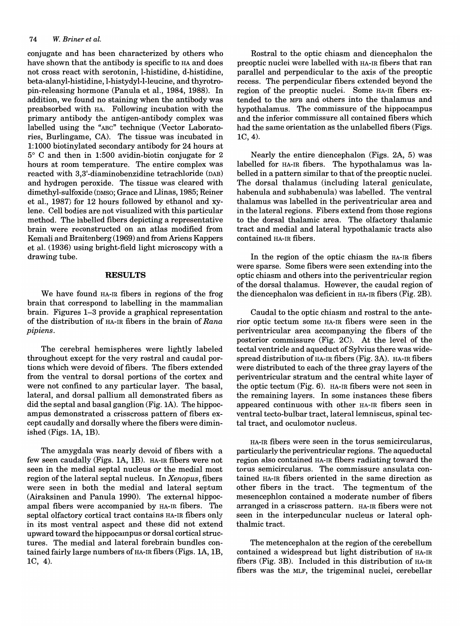#### *74 W. Briner et al.*

conjugate and has been characterized by others who have shown that the antibody is specific to HA and does not cross react with serotonin, I-histidine, d-histidine, beta-alanyl-histidine, l-histydyl-I-Ieucine, and thyrotropin-releasing hormone (Panula et aI., 1984, 1988). In addition, we found no staining when the antibody was preabsorbed with HA. Following incubation with the primary antibody the antigen-antibody complex was labelled using the "ABC" technique (Vector Laboratories, Burlingame, CA). The tissue was incubated in 1: 1000 biotinylated secondary antibody for 24 hours at 5° C and then in 1:500 avidin-biotin conjugate for 2 hours at room temperature. The entire complex was reacted with 3,3'-diaminobenzidine tetrachloride (DAB) and hydrogen peroxide. The tissue was cleared with dimethyl-sulfoxide (DMSO; Grace and Llinas, 1985; Reiner et aI., 1987) for 12 hours followed by ethanol and xylene. Cell bodies are not visualized with this particular method. The labelled fibers depicting a representative brain were reconstructed on an atlas modified from Kemali and Braitenberg (1969) and from Ariens Kappers et aI. (1936) using bright-field light microscopy with a drawing tube.

#### **RESULTS**

We have found HA-IR fibers in regions of the frog brain that correspond to labelling in the mammalian brain. Figures 1-3 provide a graphical representation of the distribution of HA-IR fibers in the brain of *Rana pipiens.* 

The cerebral hemispheres were lightly labeled throughout except for the very rostral and caudal portions which were devoid of fibers. The fibers extended from the ventral to dorsal portions of the cortex and were not confined to any particular layer. The basal, lateral, and dorsal pallium all demonstrated fibers as did the septal and basal ganglion (Fig. 1A). The hippocampus demonstrated a crisscross pattern of fibers except caudally and dorsally where the fibers were diminished (Figs. lA, 1B).

The amygdala was nearly devoid of fibers with a few seen caudally (Figs. lA, 1B). HA-IR fibers were not seen in the medial septal nucleus or the medial most region of the lateral septal nucleus. In *Xenopus*, fibers were seen in both the medial and lateral septum (Airaksinen and Panula 1990). The external hippocampal fibers were accompanied by HA-IR fibers. The septal olfactory cortical tract contains HA-IR fibers only in its most ventral aspect and these did not extend upward toward the hippocampus or dorsal cortical structures. The medial and lateral forebrain bundles contained fairly large numbers of  $HA$ -IR fibers (Figs. 1A, 1B, 1C, 4).

Rostral to the optic chiasm and diencephalon the preoptic nuclei were labelled with HA-IR fibers that ran parallel and perpendicular to the axis of the preoptic recess. The perpendicular fibers extended beyond the region of the preoptic nuclei. Some HA-IR fibers extended to the MFB and others into the thalamus and hypothalamus. The commissure of the hippocampus and the inferior commissure all contained fibers which had the same orientation as the unlabelled fibers (Figs. 1C,4).

Nearly the entire diencephalon (Figs. 2A, 5) was labelled for HA-IR fibers. The hypothalamus was labelled in a pattern similar to that of the preoptic nuclei. The dorsal thalamus (including lateral geniculate, habenula and subhabenula) was labelled. The ventral thalamus was labelled in the periventricular area and in the lateral regions. Fibers extend from those regions to the dorsal thalamic area. The olfactory thalamic tract and medial and lateral hypothalamic tracts also contained HA-IR fibers.

In the region of the optic chiasm the HA-IR fibers were sparse. Some fibers were seen extending into the optic chiasm and others into the periventricular region of the dorsal thalamus. However, the caudal region of the diencephalon was deficient in HA-IR fibers (Fig. 2B).

Caudal to the optic chiasm and rostral to the anterior optic tectum some HA-IR fibers were seen in the periventricular area accompanying the fibers of the posterior commissure (Fig. 2C). At the level of the tectal ventricle and aqueduct of Sylvius there was widespread distribution of  $HA$ -IR fibers (Fig. 3A). HA-IR fibers were distributed to each of the three gray layers of the periventricular stratum and the central white layer of the optic tectum (Fig. 6). HA-IR fibers were not seen in the remaining layers. In some instances these fibers appeared continuous with other HA-IR fibers seen in ventral tecto-bulbar tract, lateral lemniscus, spinal tectal tract, and oculomotor nucleus.

HA-IR fibers were seen in the torus semicircularus, particularly the periventricular regions. The aqueductal region also contained HA-IR fibers radiating toward the torus semicircularus. The commissure ansulata contained HA-IR fibers oriented in the same direction as other fibers in the tract. The tegmentum of the mesencephlon contained a moderate number of fibers arranged in a crisscross pattern. HA-IR fibers were not seen in the interpeduncular nucleus or lateral ophthalmic tract.

The metencephalon at the region of the cerebellum contained a widespread but light distribution of HA-IR fibers (Fig. 3B). Included in this distribution of HA-IR fibers was the MLF, the trigeminal nuclei, cerebellar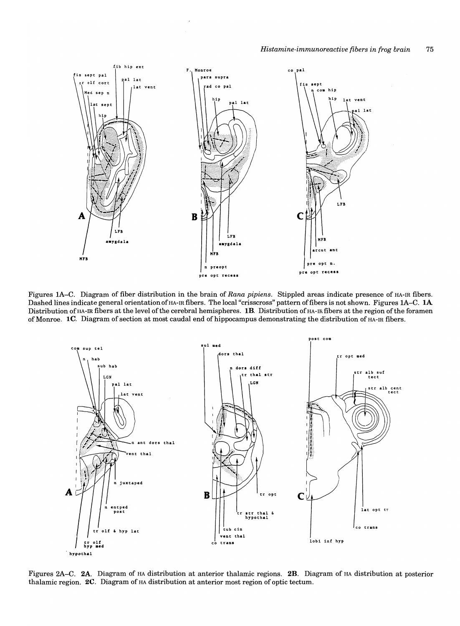

Figures lA-C. Diagram of fiber distribution in the brain of *Rana pipiens.* Stippled areas indicate presence of HA-IR fibers. Dashed lines indicate general orientation of HA-IR fibers. The local "crisscross" pattern of fibers is not shown. Figures 1A–C. 1A Distribution of HA-IR fibers at the level of the cerebral hemispheres. **1B**. Distribution of HA-IR fibers at the region of the foramen of Monroe. 1C. Diagram of section at most caudal end of hippocampus demonstrating the distribution of HA-IR fibers.



Figures 2A-C. 2A. Diagram of HA distribution at anterior thalamic regions. 2B. Diagram of HA distribution at posterior thalamic region.  $2C$ . Diagram of  $HA$  distribution at anterior most region of optic tectum.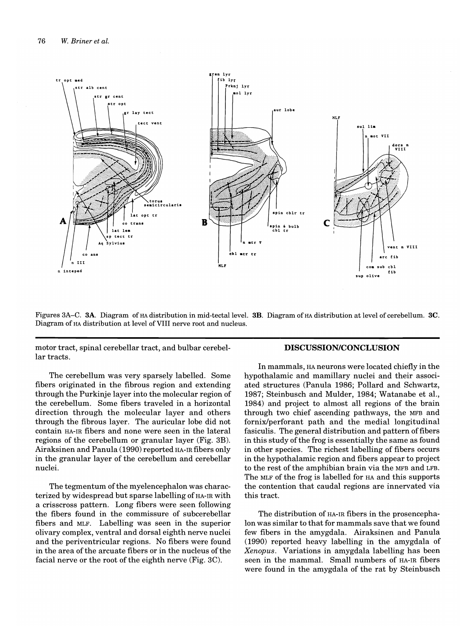

Figures 3A–C. 3A. Diagram of HA distribution in mid-tectal level. 3B. Diagram of HA distribution at level of cerebellum. 3C. Diagram of HA distribution at level of VIII nerve root and nucleus.

motor tract, spinal cerebellar tract, and bulbar cerebellar tracts.

The cerebellum was very sparsely labelled. Some fibers originated in the fibrous region and extending through the Purkinje layer into the molecular region of the cerebellum. Some fibers traveled in a horizontal direction through the molecular layer and others through the fibrous layer. The auricular lobe did not contain HA-IR fibers and none were seen in the lateral regions of the cerebellum or granular layer (Fig. 3B). Airaksinen and Panula (1990) reported HA-IR fibers only in the granular layer of the cerebellum and cerebellar nuclei.

The tegmentum of the myelencephalon was characterized by widespread but sparse labelling of HA-IR with a crisscross pattern. Long fibers were seen following the fibers found in the commissure of subcerebellar fibers and MLF. Labelling was seen in the superior olivary complex, ventral and dorsal eighth nerve nuclei and the periventricular regions. No fibers were found in the area of the arcuate fibers or in the nucleus of the facial nerve or the root of the eighth nerve (Fig.  $3C$ ).

### **DISCUSSION/CONCLUSION**

**In** mammals, HA neurons were located chiefly in the hypothalamic and mamillary nuclei and their associated structures (Panula 1986; Pollard and Schwartz, 1987; Steinbusch and Mulder, 1984; Watanabe et aI., 1984) and project to almost all regions of the brain through two chief ascending pathways, the MFB and fornix/perforant path and the medial longitudinal fasiculis. The general distribution and pattern of fibers in this study of the frog is essentially the same as found in other species. The richest labelling of fibers occurs in the hypothalamic region and fibers appear to project to the rest of the amphibian brain via the MFB and LFB. The MLF of the frog is labelled for HA and this supports the contention that caudal regions are innervated via this tract.

The distribution of HA-IR fibers in the prosencephalon was similar to that for mammals save that we found few fibers in the amygdala. Airaksinen and Panula (1990) reported heavy labelling in the amygdala of *Xenopus* . Variations in amygdala labelling has been seen in the mammal. Small numbers of HA-IR fibers were found in the amygdala of the rat by Steinbusch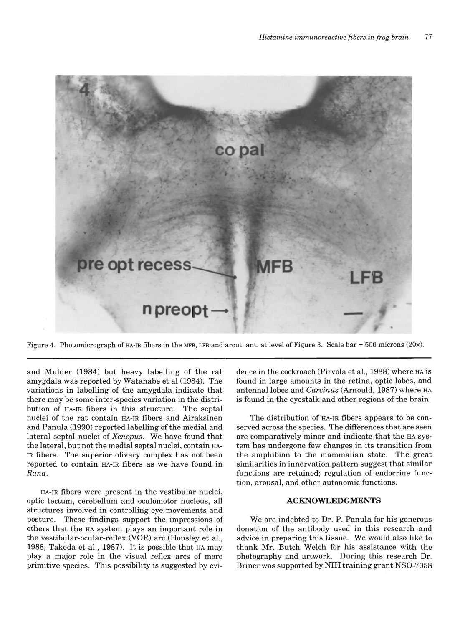

Figure 4. Photomicrograph of HA-IR fibers in the MFB, LFB and arcut. ant. at level of Figure 3. Scale bar = 500 microns (20 $\times$ ).

and Mulder (1984) but heavy labelling of the rat amygdala was reported by Watanabe et al (1984). The variations in labelling of the amygdala indicate that there may be some inter-species variation in the distribution of HA-IR fibers in this structure. The septal nuclei of the rat contain HA-IR fibers and Airaksinen and Panula (1990) reported labelling of the medial and lateral septal nuclei of *Xenopus.* We have found that the lateral, but not the medial septal nuclei, contain HA-IR fibers. The superior olivary complex has not been reported to contain HA-IR fibers as we have found in *Rana.* 

HA-IR fibers were present in the vestibular nuclei, optic tectum, cerebellum and oculomotor nucleus, all structures involved in controlling eye movements and posture. These findings support the impressions of others that the HA system plays an important role in the vestibular-ocular-reflex (VOR) arc (Housley et aI., 1988; Takeda et al., 1987). It is possible that HA may playa major role in the visual reflex arcs of more primitive species. This possibility is suggested by evidence in the cockroach (Pirvola et aI., 1988) where HA is found in large amounts in the retina, optic lobes, and antennallobes and *Carcinus* (Arnould, 1987) where HA is found in the eyestalk and other regions of the brain.

The distribution of HA-IR fibers appears to be conserved across the species. The differences that are seen are comparatively minor and indicate that the HA system has undergone few changes in its transition from the amphibian to the mammalian state. The great similarities in innervation pattern suggest that similar functions are retained; regulation of endocrine function, arousal, and other autonomic functions.

#### **ACKNOWLEDGMENTS**

We are indebted to Dr. P. Panula for his generous donation of the antibody used in this research and advice in preparing this tissue. We would also like to thank Mr. Butch Welch for his assistance with the photography and artwork. During this research Dr. Briner was supported by NIH training grant NSO-7058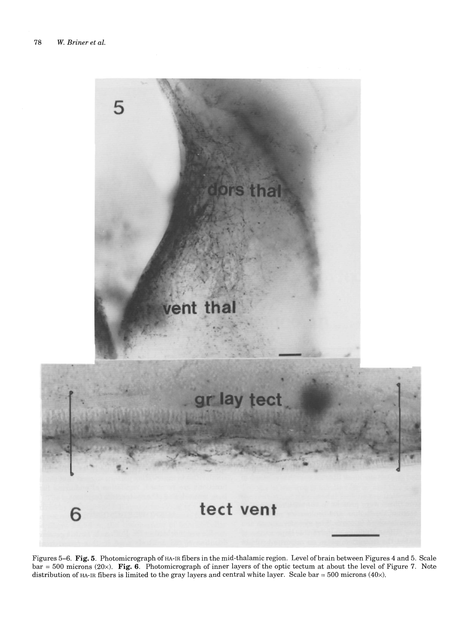

Figures 5-6. Fig. 5. Photomicrograph of HA-IR fibers in the mid-thalamic region. Level of brain between Figures 4 and 5. Scale bar = 500 microns (20x). **Fig.** 6. Photomicrograph of inner layers of the optic tectum at about the level of Figure 7. Note distribution of HA-IR fibers is limited to the gray layers and central white layer. Scale bar = 500 microns (40 $\times$ ).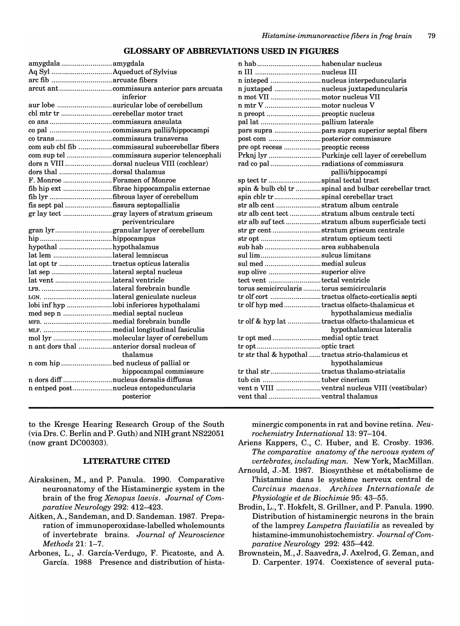### **GLOSSARY OF ABBREVIATIONS USED IN FIGURES**

| amygdala amygdala                    |                                             |
|--------------------------------------|---------------------------------------------|
|                                      |                                             |
|                                      |                                             |
|                                      |                                             |
|                                      | inferior                                    |
|                                      |                                             |
|                                      |                                             |
|                                      |                                             |
|                                      |                                             |
|                                      |                                             |
|                                      |                                             |
|                                      |                                             |
|                                      | dors n VIIIdorsal nucleus VIII (cochlear)   |
| dors thal dorsal thalamus            |                                             |
| F. Monroe  Foramen of Monroe         |                                             |
|                                      | fib hip ext fibrae hippocampalis externae   |
|                                      | fib lyr fibrous layer of cerebellum         |
| fis sept pal fissura septopallialis  |                                             |
|                                      |                                             |
|                                      | periventriculare                            |
|                                      | gran lyrgranular layer of cerebellum        |
|                                      |                                             |
| hypothal hypothalamus                |                                             |
| lat lem lateral lemniscus            |                                             |
| lat opt tr tractus opticus lateralis |                                             |
| lat sep lateral septal nucleus       |                                             |
| lat vent lateral ventricle           |                                             |
|                                      |                                             |
|                                      | LGN. lateral geniculate nucleus             |
|                                      | lobi inf hyp lobi inferiores hypothalami    |
| med sep n medial septal nucleus      |                                             |
|                                      |                                             |
|                                      |                                             |
|                                      |                                             |
|                                      | n ant dors thal  anterior dorsal nucleus of |
|                                      | thalamus                                    |
| n com hip bed nucleus of pallial or  |                                             |
|                                      | hippocampal commissure                      |
|                                      | n dors diff nucleus dorsalis diffusus       |
|                                      | n entped postnucleus entopeduncularis       |
|                                      | posterior                                   |
|                                      |                                             |

to the Kresge Hearing Research Group of the South (via Drs. C. Berlin and P. Guth) and NIH grant NS22051 (now grant DC00303).

#### **LITERATURE CITED**

- Airaksinen, M., and P. Panula. 1990. Comparative neuroanatomy of the Histaminergic system in the brain of the frog *Xenopus laevis. Journal of Comparative Neurology* 292: 412-423.
- Aitken, A., Sandeman, and D. Sandeman. 1987. Preparation of immunoperoxidase-Iabelled wholemounts of invertebrate brains. *Journal of Neuroscience Meth'ods* 21: 1-7.
- Arbones, L., J. García-Verdugo, F. Picatoste, and A. García. 1988 Presence and distribution of hista-

| n habhabenular nucleus                     |                                                       |
|--------------------------------------------|-------------------------------------------------------|
|                                            |                                                       |
|                                            | n inteped nucleus interpeduncularis                   |
|                                            | n juxtaped nucleus juxtapeduncularis                  |
| n mot VII motor nucleus VII                |                                                       |
| n mtr V motor nucleus V                    |                                                       |
|                                            |                                                       |
|                                            |                                                       |
|                                            |                                                       |
| post com posterior commissure              |                                                       |
| pre opt recess  preoptic recess            |                                                       |
|                                            | Prknj lyr  Purkinje cell layer of cerebellum          |
|                                            | rad co pal radiations of commissura                   |
|                                            | pallii/hippocampi                                     |
| sp tect tr spinal tectal tract             |                                                       |
|                                            | spin & bulb cbl tr spinal and bulbar cerebellar tract |
| spin cblr trspinal cerebellar tract        |                                                       |
| str alb cent stratum album centrale        |                                                       |
|                                            | str alb cent tect stratum album centrale tecti        |
|                                            | str alb suf tect stratum album superficiale tecti     |
|                                            | str gr cent stratum griseum centrale                  |
| str opt stratum opticum tecti              |                                                       |
| sub hab  area subhabenula                  |                                                       |
| sul limsulcus limitans                     |                                                       |
| sul med medial sulcus                      |                                                       |
| sup olive superior olive                   |                                                       |
| tect vent tectal ventricle                 |                                                       |
| torus semicircularis  torus semicircularis |                                                       |
|                                            | tr olf cort tractus olfacto-corticalis septi          |
|                                            | tr olf hyp medtractus olfacto-thalamicus et           |
|                                            | hypothalamicus medialis                               |
|                                            | tr olf & hyp lat tractus olfacto-thalamicus et        |
|                                            | hypothalamicus lateralis                              |
|                                            |                                                       |
|                                            |                                                       |
|                                            | tr str thal & hypothal  tractus strio-thalamicus et   |
|                                            | hypothalamicus                                        |
|                                            | tr thal str tractus thalamo-striatalis                |
|                                            |                                                       |
|                                            | vent n VIII ventral nucleus VIII (vestibular)         |
| vent thal ventral thalamus                 |                                                       |
|                                            |                                                       |

minergic components in rat and bovine retina. *Neurochemistry International* 13: 97-104.

- Ariens Kappers, C., C. Huber, and E. Crosby. 1936. *The comparative anatomy of the nervous system of vertebrates, including man.* New York, MacMillan.
- Arnould, J.-M. 1987. Biosynthèse et métabolisme de l'histamine dans Ie systeme nerveux central de *Carcinus maenas. Archives Internationale de Physiologie et de Biochimie* 95: 43-55.
- Brodin, L., T. Hokfelt, S. Grillner, and P. Panula. 1990. Distribution of histaminergic neurons in the brain of the lamprey *Lampetra fluviatilis* as revealed by histamine-immunohistochemistry. *Journal of Comparative Neurology* 292: 435-442.
- Brownstein, M., J. Saavedra, J. Axelrod, G. Zeman, and D. Carpenter. 1974. Coexistence of several puta-